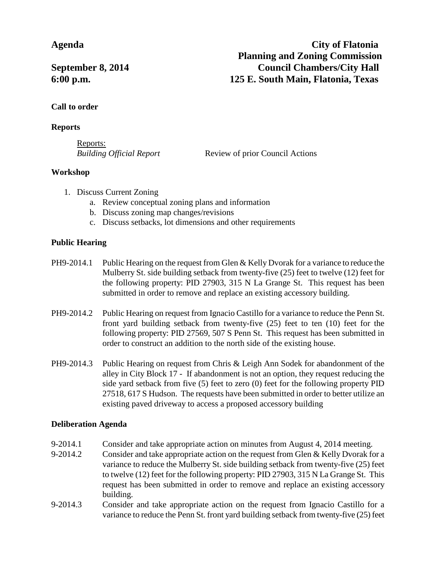**Agenda City of Flatonia Planning and Zoning Commission September 8, 2014** Council Chambers/City Hall **6:00 p.m. 125 E. South Main, Flatonia, Texas**

# **Call to order**

## **Reports**

Reports:

*Building Official Report* Review of prior Council Actions

# **Workshop**

- 1. Discuss Current Zoning
	- a. Review conceptual zoning plans and information
	- b. Discuss zoning map changes/revisions
	- c. Discuss setbacks, lot dimensions and other requirements

# **Public Hearing**

- $PH9-2014.1$  Public Hearing on the request from Glen & Kelly Dvorak for a variance to reduce the Mulberry St. side building setback from twenty-five (25) feet to twelve (12) feet for the following property: PID 27903, 315 N La Grange St. This request has been submitted in order to remove and replace an existing accessory building.
- PH9-2014.2 Public Hearing on request from Ignacio Castillo for a variance to reduce the Penn St. front yard building setback from twenty-five (25) feet to ten (10) feet for the following property: PID 27569, 507 S Penn St. This request has been submitted in order to construct an addition to the north side of the existing house.
- PH9-2014.3 Public Hearing on request from Chris & Leigh Ann Sodek for abandonment of the alley in City Block 17 - If abandonment is not an option, they request reducing the side yard setback from five (5) feet to zero (0) feet for the following property PID 27518, 617 S Hudson. The requests have been submitted in order to better utilize an existing paved driveway to access a proposed accessory building

# **Deliberation Agenda**

- 9-2014.1 Consider and take appropriate action on minutes from August 4, 2014 meeting.
- 9-2014.2 Consider and take appropriate action on the request from Glen & Kelly Dvorak for a variance to reduce the Mulberry St. side building setback from twenty-five (25) feet to twelve (12) feet for the following property: PID 27903, 315 N La Grange St. This request has been submitted in order to remove and replace an existing accessory building.
- 9-2014.3 Consider and take appropriate action on the request from Ignacio Castillo for a variance to reduce the Penn St. front yard building setback from twenty-five (25) feet